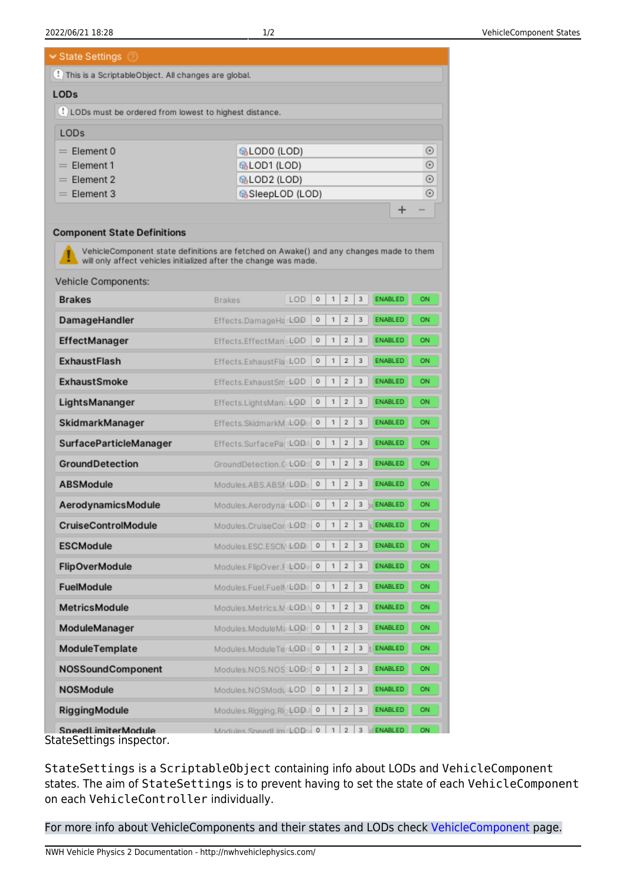State Settings

| : This is a ScriptableObject. All changes are global.   |                   |            |
|---------------------------------------------------------|-------------------|------------|
| LOD <sub>s</sub>                                        |                   |            |
| . LODs must be ordered from lowest to highest distance. |                   |            |
| <b>LODs</b>                                             |                   |            |
| $=$ Flement 0                                           | ଜ୍ଜLOD0 (LOD)     | ⊙          |
| $=$ Element 1                                           | ଜ୍ଜLOD1 (LOD)     | $_{\odot}$ |
| $=$ Element 2                                           | ଜ୍ଜLOD2 (LOD)     | $_{\odot}$ |
| $=$ Flement 3                                           | ଜ୍ଜSleepLOD (LOD) | ⊙          |
|                                                         |                   | ᅩ<br>$-$   |

## **Component State Definitions**

VehicleComponent state definitions are fetched on Awake() and any changes made to them will only affect vehicles initialized after the change was made.

| Vehicle Components:                          |                            |     |         |                |                |   |                |    |
|----------------------------------------------|----------------------------|-----|---------|----------------|----------------|---|----------------|----|
| <b>Brakes</b>                                | <b>Brakes</b>              | LOD | 0       | $\mathbf{1}$   | $\overline{2}$ | 3 | <b>ENABLED</b> | ON |
| DamageHandler                                | Effects.DamageHarkQD       |     | o       | 1              | $\overline{2}$ | 3 | <b>ENABLED</b> | ON |
| EffectManager                                | Effects.EffectManabOD      |     | 0       | 1              | $\overline{2}$ | 3 | <b>ENABLED</b> | ON |
| <b>ExhaustFlash</b>                          | Effects.ExhaustFlashOD     |     | 0       | 1              | $\overline{2}$ | 3 | <b>ENABLED</b> | ON |
| <b>ExhaustSmoke</b>                          | Effects.ExhaustSmdLOD      |     | 0       | $\mathbf{1}$   | $\overline{2}$ | 3 | <b>ENABLED</b> | ON |
| LightsMananger                               | Effects.LightsMana LOD     |     | 0       | $\mathbf{1}$   | $\overline{2}$ | 3 | <b>ENABLED</b> | ON |
| SkidmarkManager                              | Effects.SkidmarkMabODer    |     | $\circ$ | $\mathbf{1}$   | $\overline{2}$ | 3 | <b>ENABLED</b> | ON |
| SurfaceParticleManager                       | Effects.SurfacePartLOD/    |     | 0       | 1              | $\overline{2}$ | 3 | <b>ENABLED</b> | ON |
| <b>GroundDetection</b>                       | GroundDetection.GrLOD      |     |         | $\mathbf{1}$   | $\overline{2}$ | 3 | <b>ENABLED</b> | ON |
| <b>ABSModule</b>                             | Modules.ABS.ABSMLODe       |     | $\circ$ | $\mathbf{1}$   | $\overline{2}$ | 3 | <b>ENABLED</b> | ON |
| AerodynamicsModule                           | Modules.AerodynanLODA      |     | 0       | 1              | $\overline{2}$ | 3 | ENABLED<br>Ы   | ON |
| <b>CruiseControlModule</b>                   | Modules.CruiseContLOD:     |     | $\circ$ | 1              | $\overline{2}$ | 3 | ENABLED        | ON |
| ESCModule                                    | Modules.ESC.ESCM&QD        |     | 0       | $\mathbf{1}$   | $\overline{2}$ | 3 | <b>ENABLED</b> | ON |
| <b>FlipOverModule</b>                        | Modules.FlipOver.FlkODe    |     | 0       | 1              | $\overline{2}$ | 3 | <b>ENABLED</b> | ON |
| <b>FuelModule</b>                            | Modules.Fuel.Fuell//bODe   |     | $\circ$ | 1              | $\overline{2}$ | 3 | <b>ENABLED</b> | ON |
| <b>MetricsModule</b>                         | Modules.Metrics.MetODEN    |     | $\circ$ | 1              | $\overline{2}$ | 3 | <b>ENABLED</b> | ON |
| ModuleManager                                | Modules.ModuleMark.QD      |     | 0       | 1              | $\overline{2}$ | 3 | <b>ENABLED</b> | ON |
| ModuleTemplate                               | Modules.ModuleTenLODe      |     | $\circ$ | 1              | $\overline{2}$ | 3 | ENABLED        | ON |
| NOSSoundComponent                            | Modules.NOS.NOSSLOD10      |     | 0       | 1              | $\overline{2}$ | 3 | <b>ENABLED</b> | ON |
| <b>NOSModule</b>                             | Modules.NOSModul&OD        |     | 0       | 1              | $\overline{2}$ | 3 | <b>ENABLED</b> | ON |
| <b>RiggingModule</b>                         | Modules.Rigging.Rig LODM 0 |     |         | 1              | $\overline{2}$ | 3 | <b>ENABLED</b> | ON |
| SpeedLimiterModule<br>$C = 111.221 \pm 11.2$ | Modules SpeedLimitbOD 0    |     |         | 1 <sup>1</sup> | $\overline{2}$ |   | 3   ENABLED    | ON |

StateSettings inspector.

StateSettings is a ScriptableObject containing info about LODs and VehicleComponent states. The aim of StateSettings is to prevent having to set the state of each VehicleComponent on each VehicleController individually.

For more info about VehicleComponents and their states and LODs check [VehicleComponent](http://nwhvehiclephysics.com/doku.php/NWH/VehiclePhysics2/VehicleComponent) page.